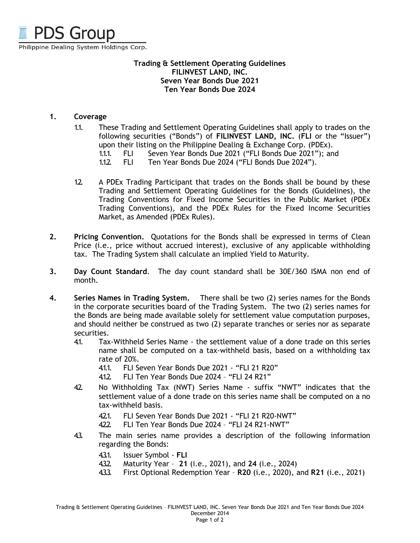

## **Trading & Settlement Operating Guidelines FILINVEST LAND, INC. Seven Year Bonds Due 2021 Ten Year Bonds Due 2024**

# **1. Coverage**

- 1.1. These Trading and Settlement Operating Guidelines shall apply to trades on the following securities ("Bonds") of **FILINVEST LAND, INC.** (**FLI** or the "Issuer") upon their listing on the Philippine Dealing & Exchange Corp. (PDEx).
	- 1.1.1. FLI Seven Year Bonds Due 2021 ("FLI Bonds Due 2021"); and
	- 1.1.2. FLI Ten Year Bonds Due 2024 ("FLI Bonds Due 2024").
- 1.2. A PDEx Trading Participant that trades on the Bonds shall be bound by these Trading and Settlement Operating Guidelines for the Bonds (Guidelines), the Trading Conventions for Fixed Income Securities in the Public Market (PDEx Trading Conventions), and the PDEx Rules for the Fixed Income Securities Market, as Amended (PDEx Rules).
- **2. Pricing Convention.** Quotations for the Bonds shall be expressed in terms of Clean Price (i.e., price without accrued interest), exclusive of any applicable withholding tax. The Trading System shall calculate an implied Yield to Maturity.
- **3. Day Count Standard**. The day count standard shall be 30E/360 ISMA non end of month.
- **4. Series Names in Trading System.** There shall be two (2) series names for the Bonds in the corporate securities board of the Trading System. The two (2) series names for the Bonds are being made available solely for settlement value computation purposes, and should neither be construed as two (2) separate tranches or series nor as separate securities.
	- 4.1. Tax-Withheld Series Name the settlement value of a done trade on this series name shall be computed on a tax-withheld basis, based on a withholding tax rate of 20%.
		- 4.1.1. FLI Seven Year Bonds Due 2021 "FLI 21 R20"
		- 4.1.2. FLI Ten Year Bonds Due 2024 "FLI 24 R21"
	- 42. No Withholding Tax (NWT) Series Name suffix "NWT" indicates that the settlement value of a done trade on this series name shall be computed on a no tax-withheld basis.
		- 421. FLI Seven Year Bonds Due 2021 "FLI 21 R20-NWT"
		- 4.2.2. FLI Ten Year Bonds Due 2024 "FLI 24 R21-NWT"
	- 4.3. The main series name provides a description of the following information regarding the Bonds:
		- 4.3.1. Issuer Symbol **FLI**
		- 4.3.2. Maturity Year **21** (i.e., 2021), and **24** (i.e., 2024)
		- 4.3.3. First Optional Redemption Year **R20** (i.e., 2020), and **R21** (i.e., 2021)